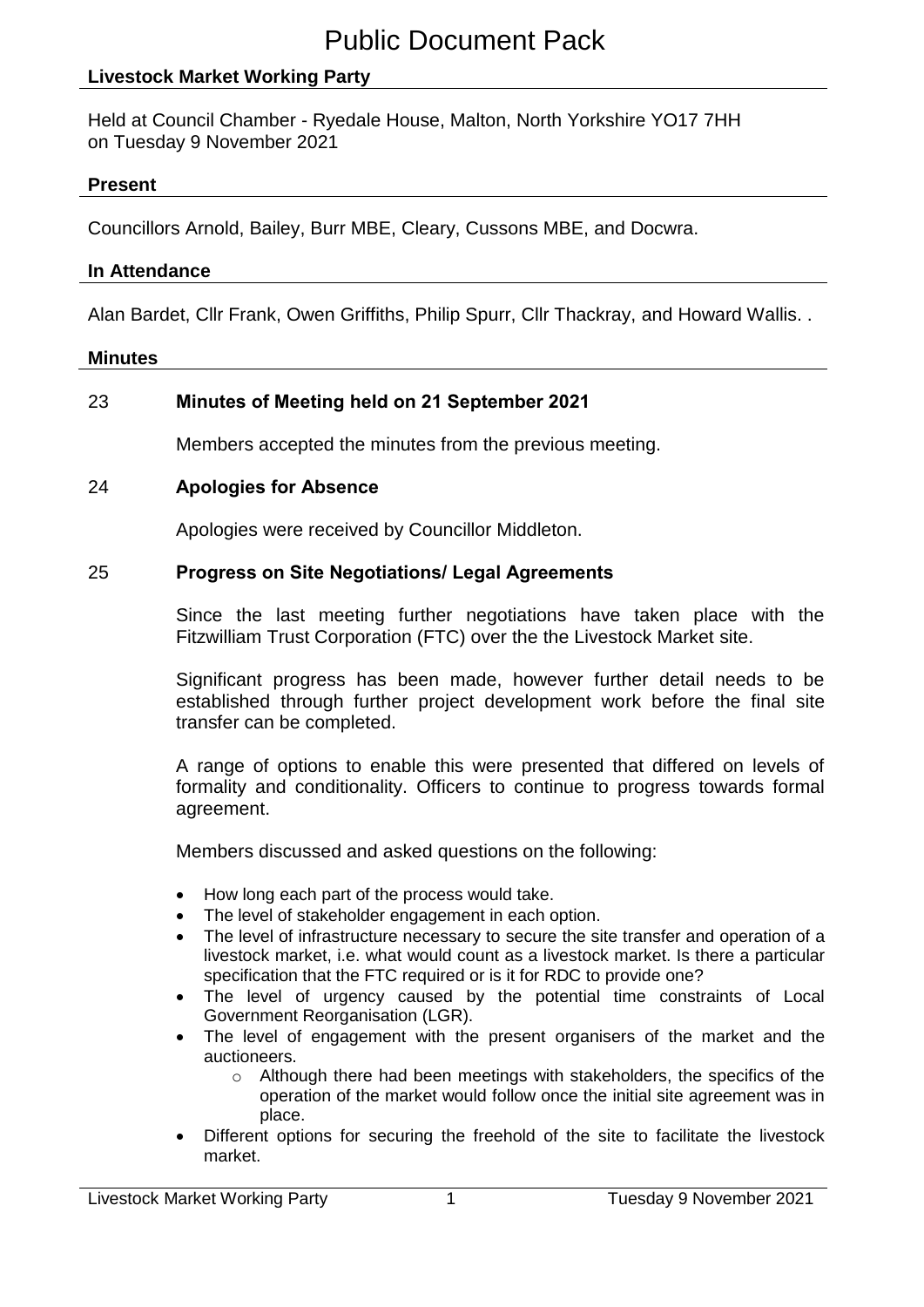### **Livestock Market Working Party**

Held at Council Chamber - Ryedale House, Malton, North Yorkshire YO17 7HH on Tuesday 9 November 2021

#### **Present**

Councillors Arnold, Bailey, Burr MBE, Cleary, Cussons MBE, and Docwra.

#### **In Attendance**

Alan Bardet, Cllr Frank, Owen Griffiths, Philip Spurr, Cllr Thackray, and Howard Wallis. .

#### **Minutes**

### 23 **Minutes of Meeting held on 21 September 2021**

Members accepted the minutes from the previous meeting.

#### 24 **Apologies for Absence**

Apologies were received by Councillor Middleton.

#### 25 **Progress on Site Negotiations/ Legal Agreements**

Since the last meeting further negotiations have taken place with the Fitzwilliam Trust Corporation (FTC) over the the Livestock Market site.

Significant progress has been made, however further detail needs to be established through further project development work before the final site transfer can be completed.

A range of options to enable this were presented that differed on levels of formality and conditionality. Officers to continue to progress towards formal agreement.

Members discussed and asked questions on the following:

- How long each part of the process would take.
- The level of stakeholder engagement in each option.
- The level of infrastructure necessary to secure the site transfer and operation of a livestock market, i.e. what would count as a livestock market. Is there a particular specification that the FTC required or is it for RDC to provide one?
- The level of urgency caused by the potential time constraints of Local Government Reorganisation (LGR).
- The level of engagement with the present organisers of the market and the auctioneers.
	- $\circ$  Although there had been meetings with stakeholders, the specifics of the operation of the market would follow once the initial site agreement was in place.
- Different options for securing the freehold of the site to facilitate the livestock market.